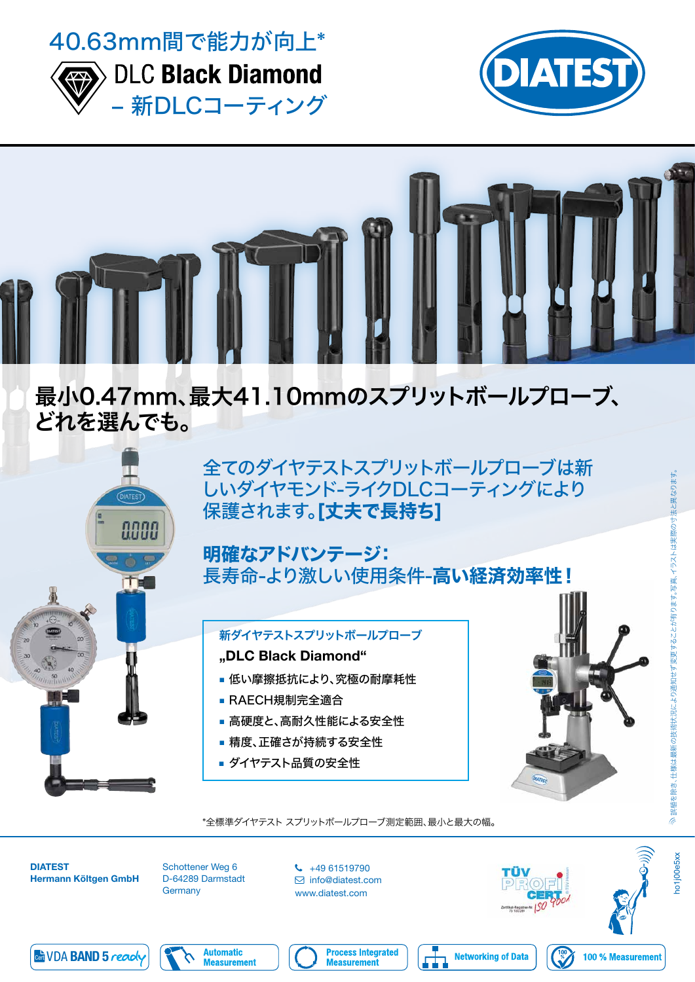



**DLC Black Diamond** – 新DLCコーティング





# 最小0.47mm、最大41.10mmのスプリットボールプローブ、 どれを選んでも。



全てのダイヤテストスプリットボールプローブは新 しいダイヤモンド-ライクDLCコーティングにより 保護されます。[丈夫で長持ち]

#### 明確なアドバンテージ: 長寿命-より激しい使用条件-高い経済効率性!

## 新ダイヤテストスプリットボールプローブ "DLC Black Diamond"

- 低い摩擦抵抗により、究極の耐摩耗性
- RAECH規制完全適合
- 高硬度と、高耐久性能による安全性
- 精度、正確さが持続する安全性
- ダイヤテスト品質の安全性





Schottener Weg 6 D-64289 Darmstadt **Germany** 

 $\begin{array}{cc} \text{+49} & 61519790 \end{array}$  info@diatest.com www.diatest.com





100 % Measurement